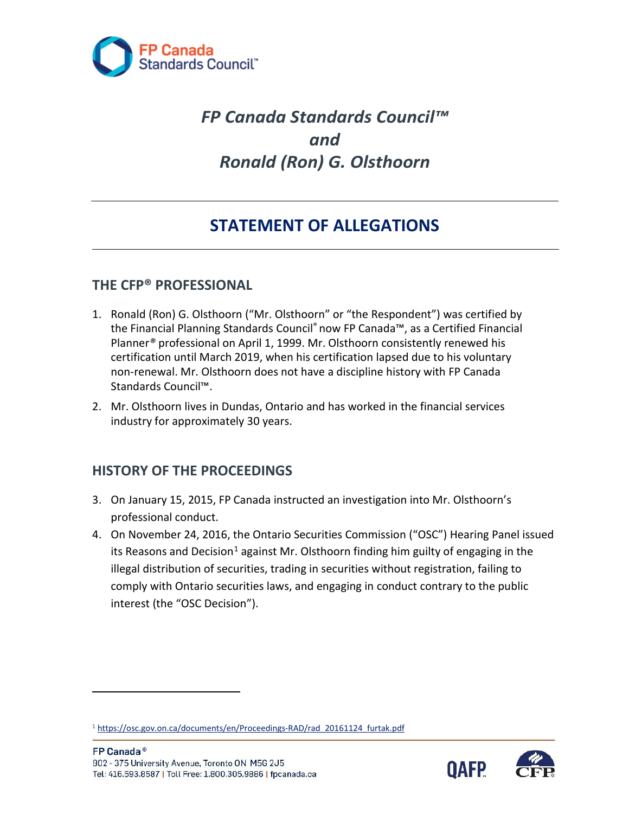

# *FP Canada Standards Council™ and Ronald (Ron) G. Olsthoorn*

# **STATEMENT OF ALLEGATIONS**

### **THE CFP® PROFESSIONAL**

- certification until March 2019, when his certification lapsed due to his voluntary 1. Ronald (Ron) G. Olsthoorn ("Mr. Olsthoorn" or "the Respondent") was certified by the Financial Planning Standards Council® now FP Canada™, as a Certified Financial Planner*®* professional on April 1, 1999. Mr. Olsthoorn consistently renewed his non-renewal. Mr. Olsthoorn does not have a discipline history with FP Canada Standards Council™.
- 2. Mr. Olsthoorn lives in Dundas, Ontario and has worked in the financial services industry for approximately 30 years.

# **HISTORY OF THE PROCEEDINGS**

- 3. On January 15, 2015, FP Canada instructed an investigation into Mr. Olsthoorn's professional conduct.
- its Reasons and Decision<sup>1</sup> against Mr. Olsthoorn finding him guilty of engaging in the illegal distribution of securities, trading in securities without registration, failing to comply with Ontario securities laws, and engaging in conduct contrary to the public 4. On November 24, 2016, the Ontario Securities Commission ("OSC") Hearing Panel issued interest (the "OSC Decision").



<span id="page-0-0"></span><sup>&</sup>lt;sup>1</sup> https://osc.gov.on.ca/documents/en/Proceedings-RAD/rad\_20161124\_furtak.pdf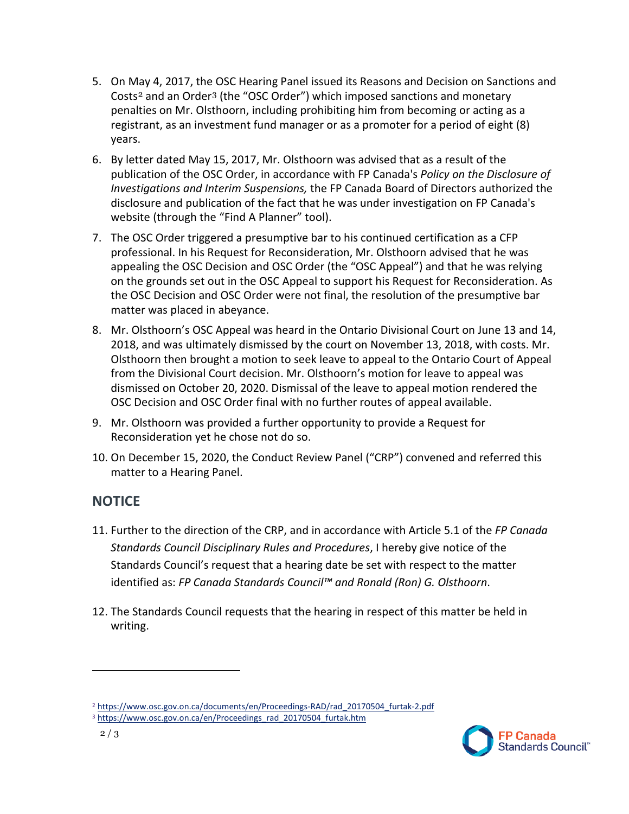- Costs<sup>[2](#page-1-0)</sup> and an Order<sup>[3](#page-1-1)</sup> (the "OSC Order") which imposed sanctions and monetary 5. On May 4, 2017, the OSC Hearing Panel issued its Reasons and Decision on Sanctions and penalties on Mr. Olsthoorn, including prohibiting him from becoming or acting as a registrant, as an investment fund manager or as a promoter for a period of eight (8) years.
- 6. By letter dated May 15, 2017, Mr. Olsthoorn was advised that as a result of the *Investigations and Interim Suspensions,* the FP Canada Board of Directors authorized the website (through the "Find A Planner" tool). publication of the OSC Order, in accordance with FP Canada's *Policy on the Disclosure of*  disclosure and publication of the fact that he was under investigation on FP Canada's
- professional. In his Request for Reconsideration, Mr. Olsthoorn advised that he was 7. The OSC Order triggered a presumptive bar to his continued certification as a CFP appealing the OSC Decision and OSC Order (the "OSC Appeal") and that he was relying on the grounds set out in the OSC Appeal to support his Request for Reconsideration. As the OSC Decision and OSC Order were not final, the resolution of the presumptive bar matter was placed in abeyance.
- 2018, and was ultimately dismissed by the court on November 13, 2018, with costs. Mr. Olsthoorn then brought a motion to seek leave to appeal to the Ontario Court of Appeal from the Divisional Court decision. Mr. Olsthoorn's motion for leave to appeal was dismissed on October 20, 2020. Dismissal of the leave to appeal motion rendered the OSC Decision and OSC Order final with no further routes of appeal available. 8. Mr. Olsthoorn's OSC Appeal was heard in the Ontario Divisional Court on June 13 and 14,
- Reconsideration yet he chose not do so. 9. Mr. Olsthoorn was provided a further opportunity to provide a Request for
- matter to a Hearing Panel. 10. On December 15, 2020, the Conduct Review Panel ("CRP") convened and referred this

# **NOTICE**

- 11. Further to the direction of the CRP, and in accordance with Article 5.1 of the *FP Canada*  Standards Council's request that a hearing date be set with respect to the matter *Standards Council Disciplinary Rules and Procedures*, I hereby give notice of the identified as: *FP Canada Standards Council™ and Ronald (Ron) G. Olsthoorn*.
- 12. The Standards Council requests that the hearing in respect of this matter be held in writing.

<span id="page-1-1"></span><span id="page-1-0"></span><sup>&</sup>lt;sup>2</sup> https://www.osc.gov.on.ca/documents/en/Proceedings-RAD/rad\_20170504\_furtak-2.pdf<br><sup>3</sup> https://www.osc.gov.on.ca/en/Proceedings\_rad\_20170504\_furtak.htm <sup>3</sup> https://www.osc.gov.on.ca/en/Proceedings\_rad\_20170504\_furtak.htm